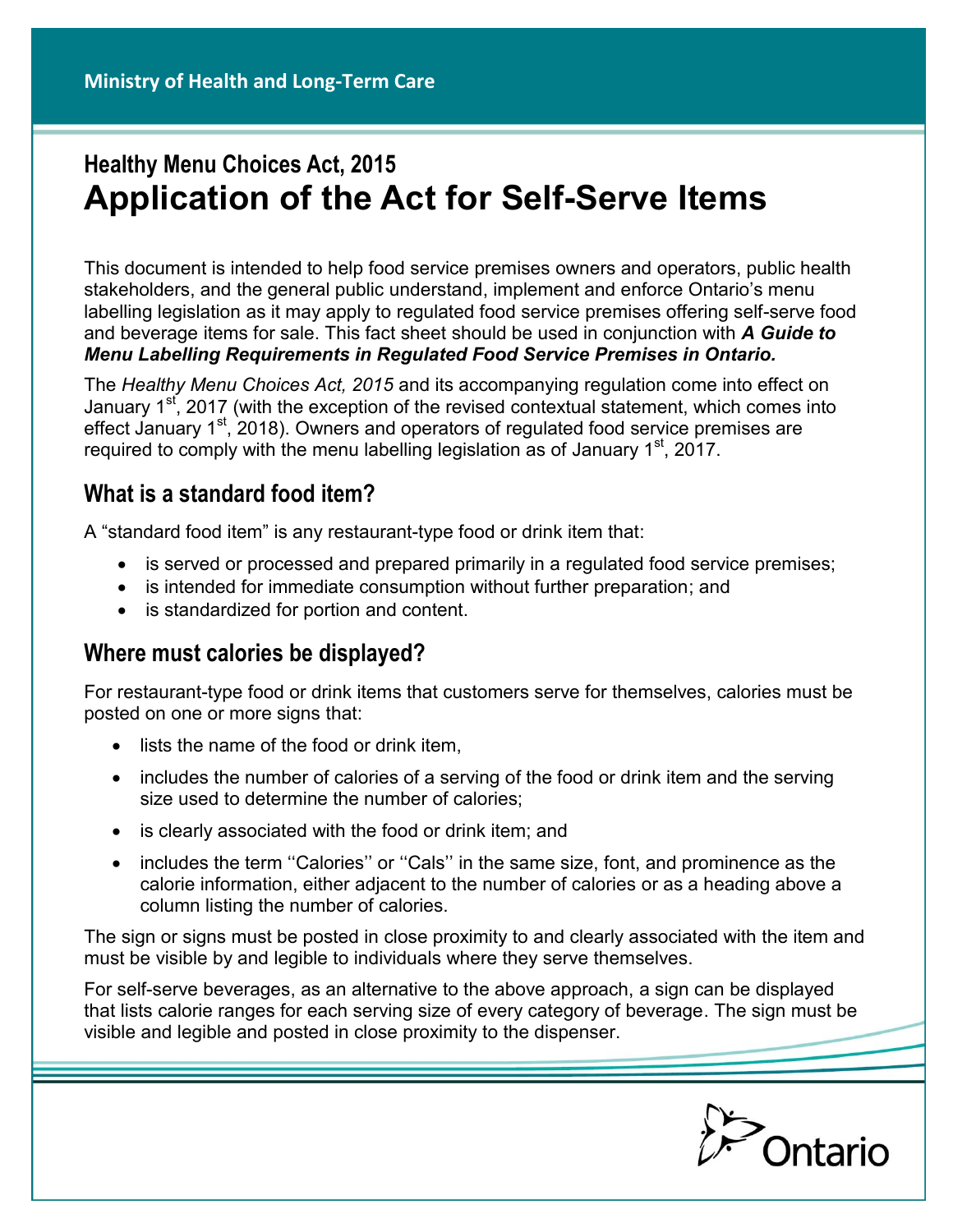# **Healthy Menu Choices Act, 2015 Application of the Act for Self-Serve Items**

This document is intended to help food service premises owners and operators, public health stakeholders, and the general public understand, implement and enforce Ontario's menu labelling legislation as it may apply to regulated food service premises offering self-serve food and beverage items for sale. This fact sheet should be used in conjunction with *A Guide to Menu Labelling Requirements in Regulated Food Service Premises in Ontario.*

The *Healthy Menu Choices Act, 2015* and its accompanying regulation come into effect on January 1<sup>st</sup>, 2017 (with the exception of the revised contextual statement, which comes into effect January  $1<sup>st</sup>$ , 2018). Owners and operators of regulated food service premises are required to comply with the menu labelling legislation as of January  $1<sup>st</sup>$ , 2017.

## **What is a standard food item?**

A "standard food item" is any restaurant-type food or drink item that:

- is served or processed and prepared primarily in a regulated food service premises;
- is intended for immediate consumption without further preparation; and
- is standardized for portion and content.

## **Where must calories be displayed?**

For restaurant-type food or drink items that customers serve for themselves, calories must be posted on one or more signs that:

- lists the name of the food or drink item,
- includes the number of calories of a serving of the food or drink item and the serving size used to determine the number of calories;
- is clearly associated with the food or drink item; and
- includes the term "Calories" or "Cals" in the same size, font, and prominence as the calorie information, either adjacent to the number of calories or as a heading above a column listing the number of calories.

The sign or signs must be posted in close proximity to and clearly associated with the item and must be visible by and legible to individuals where they serve themselves.

For self-serve beverages, as an alternative to the above approach, a sign can be displayed that lists calorie ranges for each serving size of every category of beverage. The sign must be visible and legible and posted in close proximity to the dispenser.

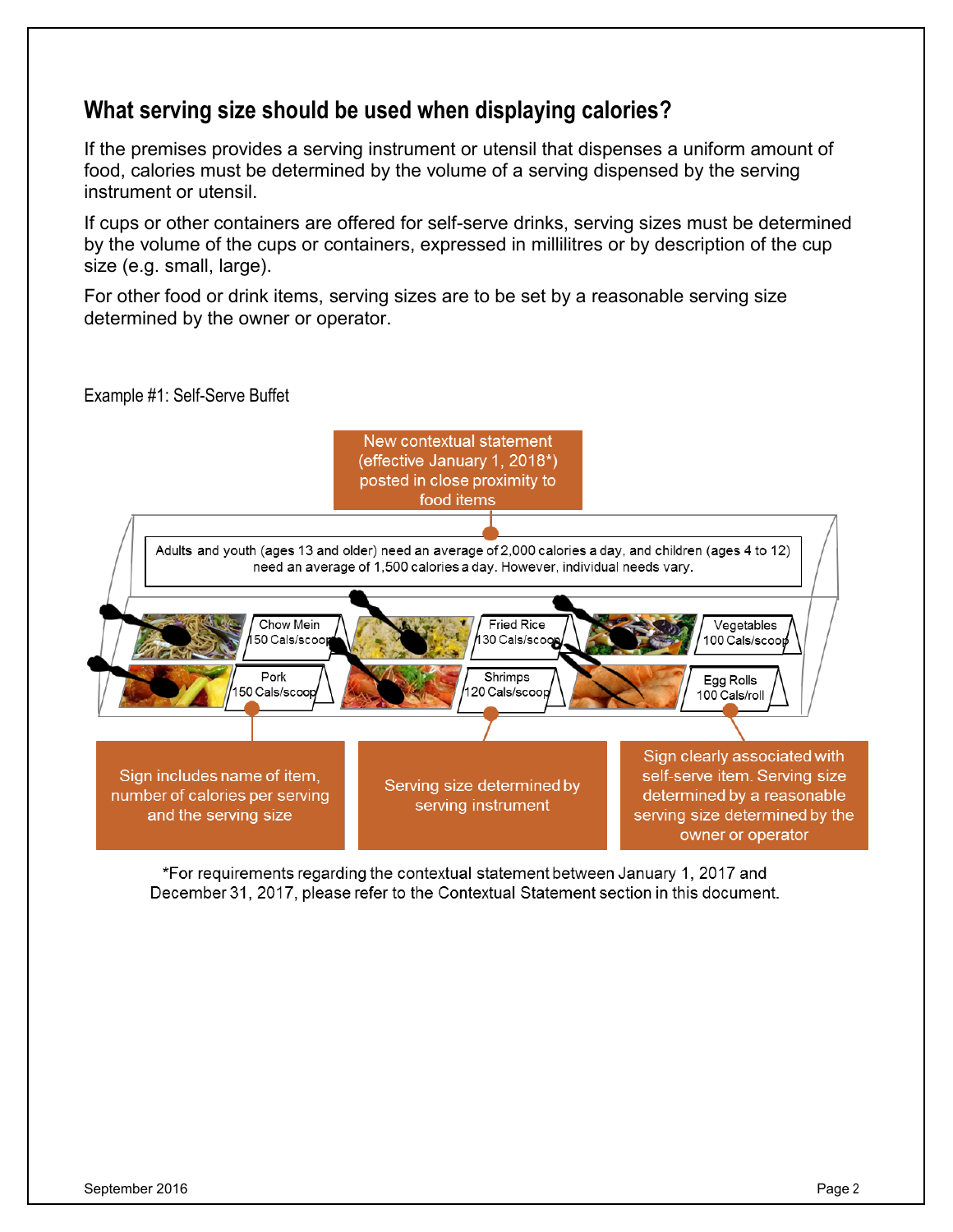#### **What serving size should be used when displaying calories?**

If the premises provides a serving instrument or utensil that dispenses a uniform amount of food, calories must be determined by the volume of a serving dispensed by the serving instrument or utensil.

If cups or other containers are offered for self-serve drinks, serving sizes must be determined by the volume of the cups or containers, expressed in millilitres or by description of the cup size (e.g. small, large).

For other food or drink items, serving sizes are to be set by a reasonable serving size determined by the owner or operator.

Example #1: Self-Serve Buffet



\*For requirements regarding the contextual statement between January 1, 2017 and December 31, 2017, please refer to the Contextual Statement section in this document.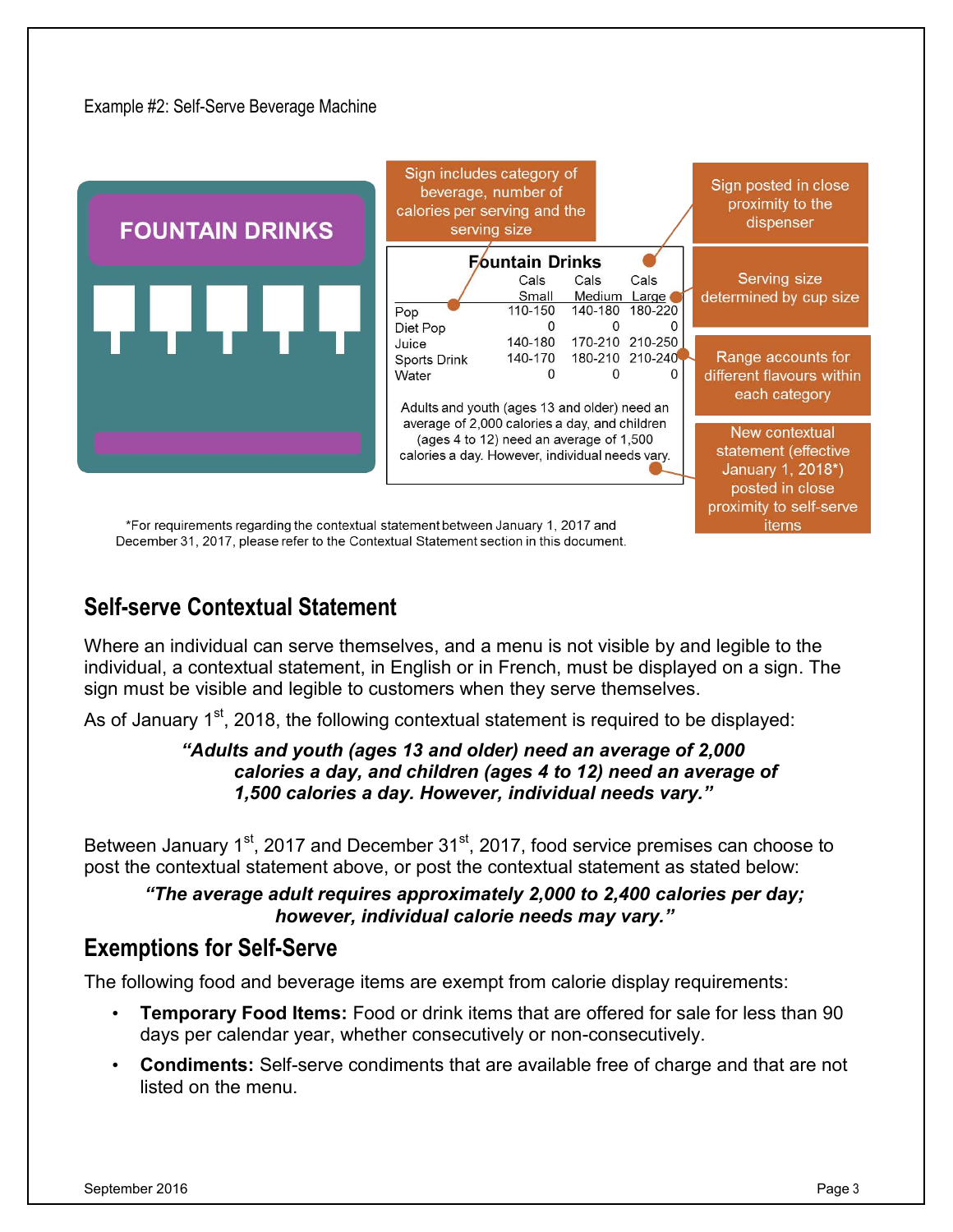

\*For requirements regarding the contextual statement between January 1, 2017 and December 31, 2017, please refer to the Contextual Statement section in this document.

# **Self-serve Contextual Statement**

Where an individual can serve themselves, and a menu is not visible by and legible to the individual, a contextual statement, in English or in French, must be displayed on a sign. The sign must be visible and legible to customers when they serve themselves.

As of January 1<sup>st</sup>, 2018, the following contextual statement is required to be displayed:

#### *"Adults and youth (ages 13 and older) need an average of 2,000 calories a day, and children (ages 4 to 12) need an average of 1,500 calories a day. However, individual needs vary."*

Between January  $1<sup>st</sup>$ , 2017 and December  $31<sup>st</sup>$ , 2017, food service premises can choose to post the contextual statement above, or post the contextual statement as stated below:

*"The average adult requires approximately 2,000 to 2,400 calories per day; however, individual calorie needs may vary."*

## **Exemptions for Self-Serve**

The following food and beverage items are exempt from calorie display requirements:

- **Temporary Food Items:** Food or drink items that are offered for sale for less than 90 days per calendar year, whether consecutively or non-consecutively.
- **Condiments:** Self-serve condiments that are available free of charge and that are not listed on the menu.

*items*